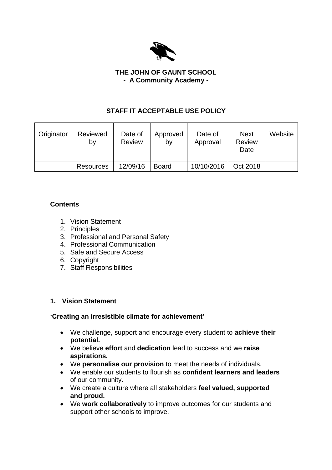

#### **THE JOHN OF GAUNT SCHOOL - A Community Academy -**

# **STAFF IT ACCEPTABLE USE POLICY**

| Originator | Reviewed<br>by   | Date of<br><b>Review</b> | Approved<br>by | Date of<br>Approval | <b>Next</b><br><b>Review</b><br>Date | Website |
|------------|------------------|--------------------------|----------------|---------------------|--------------------------------------|---------|
|            | <b>Resources</b> | 12/09/16                 | <b>Board</b>   | 10/10/2016          | Oct 2018                             |         |

# **Contents**

- 1. Vision Statement
- 2. Principles
- 3. Professional and Personal Safety
- 4. Professional Communication
- 5. Safe and Secure Access
- 6. Copyright
- 7. Staff Responsibilities

#### **1. Vision Statement**

#### **'Creating an irresistible climate for achievement'**

- We challenge, support and encourage every student to **achieve their potential.**
- We believe **effort** and **dedication** lead to success and we **raise aspirations.**
- We **personalise our provision** to meet the needs of individuals.
- We enable our students to flourish as **confident learners and leaders** of our community.
- We create a culture where all stakeholders **feel valued, supported and proud.**
- We **work collaboratively** to improve outcomes for our students and support other schools to improve.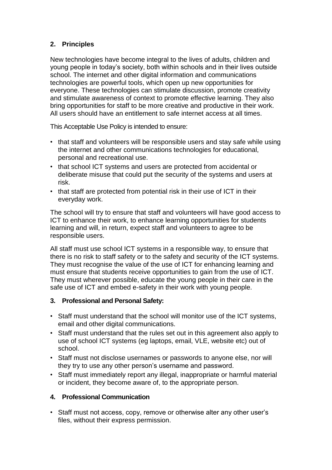# **2. Principles**

New technologies have become integral to the lives of adults, children and young people in today's society, both within schools and in their lives outside school. The internet and other digital information and communications technologies are powerful tools, which open up new opportunities for everyone. These technologies can stimulate discussion, promote creativity and stimulate awareness of context to promote effective learning. They also bring opportunities for staff to be more creative and productive in their work. All users should have an entitlement to safe internet access at all times.

This Acceptable Use Policy is intended to ensure:

- that staff and volunteers will be responsible users and stay safe while using the internet and other communications technologies for educational, personal and recreational use.
- that school ICT systems and users are protected from accidental or deliberate misuse that could put the security of the systems and users at risk.
- that staff are protected from potential risk in their use of ICT in their everyday work.

The school will try to ensure that staff and volunteers will have good access to ICT to enhance their work, to enhance learning opportunities for students learning and will, in return, expect staff and volunteers to agree to be responsible users.

All staff must use school ICT systems in a responsible way, to ensure that there is no risk to staff safety or to the safety and security of the ICT systems. They must recognise the value of the use of ICT for enhancing learning and must ensure that students receive opportunities to gain from the use of ICT. They must wherever possible, educate the young people in their care in the safe use of ICT and embed e-safety in their work with young people.

#### **3. Professional and Personal Safety:**

- Staff must understand that the school will monitor use of the ICT systems, email and other digital communications.
- Staff must understand that the rules set out in this agreement also apply to use of school ICT systems (eg laptops, email, VLE, website etc) out of school.
- Staff must not disclose usernames or passwords to anyone else, nor will they try to use any other person's username and password.
- Staff must immediately report any illegal, inappropriate or harmful material or incident, they become aware of, to the appropriate person.

#### **4. Professional Communication**

• Staff must not access, copy, remove or otherwise alter any other user's files, without their express permission.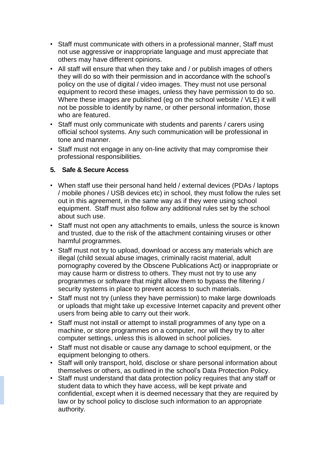- Staff must communicate with others in a professional manner, Staff must not use aggressive or inappropriate language and must appreciate that others may have different opinions.
- All staff will ensure that when they take and / or publish images of others they will do so with their permission and in accordance with the school's policy on the use of digital / video images. They must not use personal equipment to record these images, unless they have permission to do so. Where these images are published (eg on the school website / VLE) it will not be possible to identify by name, or other personal information, those who are featured.
- Staff must only communicate with students and parents / carers using official school systems. Any such communication will be professional in tone and manner.
- Staff must not engage in any on-line activity that may compromise their professional responsibilities.

#### **5. Safe & Secure Access**

- When staff use their personal hand held / external devices (PDAs / laptops / mobile phones / USB devices etc) in school, they must follow the rules set out in this agreement, in the same way as if they were using school equipment. Staff must also follow any additional rules set by the school about such use.
- Staff must not open any attachments to emails, unless the source is known and trusted, due to the risk of the attachment containing viruses or other harmful programmes.
- Staff must not try to upload, download or access any materials which are illegal (child sexual abuse images, criminally racist material, adult pornography covered by the Obscene Publications Act) or inappropriate or may cause harm or distress to others. They must not try to use any programmes or software that might allow them to bypass the filtering / security systems in place to prevent access to such materials.
- Staff must not try (unless they have permission) to make large downloads or uploads that might take up excessive Internet capacity and prevent other users from being able to carry out their work.
- Staff must not install or attempt to install programmes of any type on a machine, or store programmes on a computer, nor will they try to alter computer settings, unless this is allowed in school policies.
- Staff must not disable or cause any damage to school equipment, or the equipment belonging to others.
- Staff will only transport, hold, disclose or share personal information about themselves or others, as outlined in the school's Data Protection Policy.
- Staff must understand that data protection policy requires that any staff or student data to which they have access, will be kept private and confidential, except when it is deemed necessary that they are required by law or by school policy to disclose such information to an appropriate authority.